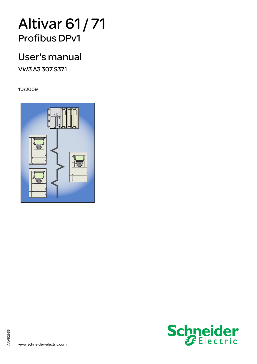# Altivar 61 / 71 Profibus DPv1

## User's manual

VW3 A3 307 S371

10/2009





AAV52935

AAV52935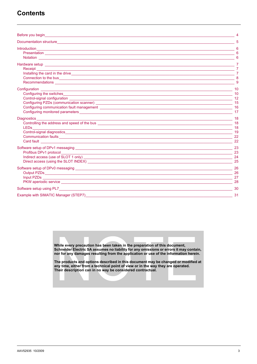### **Contents**

| Before you begin a state of the state of the state of the state of the state of the state of the state of the state of the state of the state of the state of the state of the state of the state of the state of the state of                                                                                               |                                                                                                       |
|------------------------------------------------------------------------------------------------------------------------------------------------------------------------------------------------------------------------------------------------------------------------------------------------------------------------------|-------------------------------------------------------------------------------------------------------|
|                                                                                                                                                                                                                                                                                                                              |                                                                                                       |
|                                                                                                                                                                                                                                                                                                                              |                                                                                                       |
| Connection to the bus experience of the business of the business and the business of the business of the business of the business of the business of the business of the business of the business of the business of the busin                                                                                               | 8<br>9                                                                                                |
| Configuring PZDs (communication scanner) 2008 15                                                                                                                                                                                                                                                                             | $\overline{\phantom{a}}$ 10<br>$\overline{\phantom{a}}$ 10<br>$\frac{1}{2}$ 12<br>$\frac{1}{2}$ 17    |
| <b>Diagnostics Diagnostics</b><br>Controlling the address and speed of the bus <b>controlling</b> the address and speed of the bus <b>controlling</b> the address and speed of the bus<br>LED <sub>s</sub><br>Card fault and the contract of the contract of the contract of the contract of the contract of the contract of | $\overline{\phantom{a}}$ 18<br>$\overline{\phantom{a}}$ 18<br>$\overline{\phantom{a}}$ 19<br>22<br>22 |
| Profibus DPv1 protocol 23<br>Direct access (using the SLOT INDEX) 25                                                                                                                                                                                                                                                         |                                                                                                       |
|                                                                                                                                                                                                                                                                                                                              | $\overline{\phantom{a}26}$<br>- 27<br>$\sim$ 28                                                       |
| Software setup using PL7 and the state of the state of the state of the state of the state of the state of the state of the state of the state of the state of the state of the state of the state of the state of the state o                                                                                               | $\sim$ 30 $\sim$ 30 $\sim$ 30 $\sim$                                                                  |
| Example with SIMATIC Manager (STEP7)                                                                                                                                                                                                                                                                                         | 31                                                                                                    |

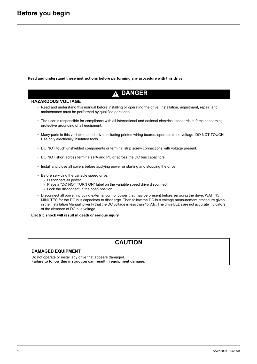<span id="page-3-0"></span>**Read and understand these instructions before performing any procedure with this drive.**

### **A DANGER**

#### **HAZARDOUS VOLTAGE**

- Read and understand this manual before installing or operating the drive. Installation, adjustment, repair, and maintenance must be performed by qualified personnel.
- The user is responsible for compliance with all international and national electrical standards in force concerning protective grounding of all equipment.
- Many parts in this variable speed drive, including printed wiring boards, operate at line voltage. DO NOT TOUCH. Use only electrically insulated tools.
- DO NOT touch unshielded components or terminal strip screw connections with voltage present.
- DO NOT short across terminals PA and PC or across the DC bus capacitors.
- Install and close all covers before applying power or starting and stopping the drive.
- Before servicing the variable speed drive:
	- Disconnect all power
	- Place a "DO NOT TURN ON" label on the variable speed drive disconnect
	- Lock the disconnect in the open position
- Disconnect all power including external control power that may be present before servicing the drive. WAIT 15 MINUTES for the DC bus capacitors to discharge. Then follow the DC bus voltage measurement procedure given in the Installation Manual to verify that the DC voltage is less than 45 Vdc. The drive LEDs are not accurate indicators of the absence of DC bus voltage.

**Electric shock will result in death or serious injury**

### **CAUTION**

#### **DAMAGED EQUIPMENT**

Do not operate or install any drive that appears damaged. **Failure to follow this instruction can result in equipment damage.**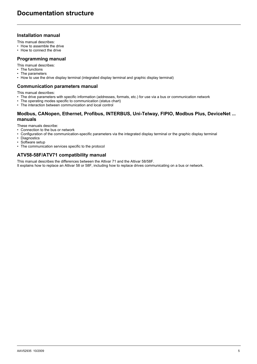### <span id="page-4-0"></span>**Installation manual**

This manual describes:

- How to assemble the drive
- How to connect the drive

#### **Programming manual**

This manual describes:

- The functions
- The parameters
- How to use the drive display terminal (integrated display terminal and graphic display terminal)

#### **Communication parameters manual**

This manual describes:

- The drive parameters with specific information (addresses, formats, etc.) for use via a bus or communication network<br>• The operating modes specific to communication (status chart)
- The operating modes specific to communication (status chart)
- The interaction between communication and local control

#### **Modbus, CANopen, Ethernet, Profibus, INTERBUS, Uni-Telway, FIPIO, Modbus Plus, DeviceNet ... manuals**

These manuals describe:

- Connection to the bus or network
- Configuration of the communication-specific parameters via the integrated display terminal or the graphic display terminal
- Diagnostics
- Software setup
- The communication services specific to the protocol

### **ATV58-58F/ATV71 compatibility manual**

This manual describes the differences between the Altivar 71 and the Altivar 58/58F. It explains how to replace an Altivar 58 or 58F, including how to replace drives communicating on a bus or network.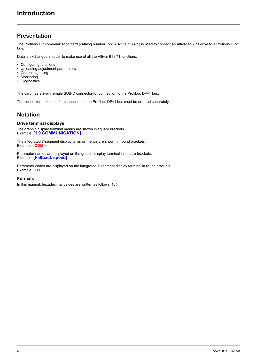### <span id="page-5-1"></span><span id="page-5-0"></span>**Presentation**

The Profibus DP communication card (catalog number VW3A A3 307 S371) is used to connect an Altivar 61 / 71 drive to a Profibus DPv1 bus.

Data is exchanged in order to make use of all the Altivar 61 / 71 functions:

- Configuring functions
- Uploading adjustment parameters
- Control-signaling
- Monitoring
- Diagnostics

The card has a 9-pin female SUB-D connector for connection to the Profibus DPv1 bus.

The connector and cable for connection to the Profibus DPv1 bus must be ordered separately.

### <span id="page-5-2"></span>**Notation**

#### **Drive terminal displays**

The graphic display terminal menus are shown in square brackets. Example: **[1.9 COMMUNICATION]**.

The integrated 7-segment display terminal menus are shown in round brackets. Example: (**COM-**).

Parameter names are displayed on the graphic display terminal in square brackets. Example: **[Fallback speed]**

Parameter codes are displayed on the integrated 7-segment display terminal in round brackets. Example: (**LFF**).

### **Formats**

In this manual, hexadecimal values are written as follows: 16#.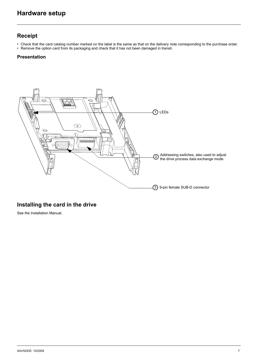### <span id="page-6-1"></span><span id="page-6-0"></span>**Receipt**

- Check that the card catalog number marked on the label is the same as that on the delivery note corresponding to the purchase order.
- Remove the option card from its packaging and check that it has not been damaged in transit.

### **Presentation**



### <span id="page-6-2"></span>**Installing the card in the drive**

See the Installation Manual.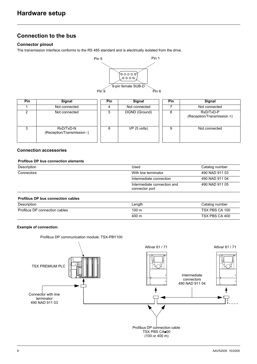### <span id="page-7-0"></span>**Connection to the bus**

### **Connector pinout**

The transmission interface conforms to the RS 485 standard and is electrically isolated from the drive.



| Pin | Signal                                  | Pin | Signal        | <b>Pin</b> | Signal                                  |
|-----|-----------------------------------------|-----|---------------|------------|-----------------------------------------|
|     | Not connected                           |     | Not connected |            | Not connected                           |
| ົ   | Not connected                           | 5   | DGND (Ground) | 8          | RxD/TxD-P<br>(Reception/Transmission +) |
|     | RxD/TxD-N<br>(Reception/Transmission -) |     | VP (5 volts)  | 9          | Not connected                           |

### **Connection accessories**

### **Profibus DP bus connection elements**

| Description | Used                                          | Catalog number |
|-------------|-----------------------------------------------|----------------|
| Connectors  | With line terminator                          | 490 NAD 911 03 |
|             | Intermediate connection                       | 490 NAD 911 04 |
|             | Intermediate connection and<br>connector port | 490 NAD 911 05 |
|             |                                               |                |

#### **Profibus DP bus connection cables**

| Description                   | Length | Catalog number |
|-------------------------------|--------|----------------|
| Profibus DP connection cables | 100 m  | TSX PBS CA 100 |
|                               | 400 m  | TSX PBS CA 400 |

#### **Example of connection:**

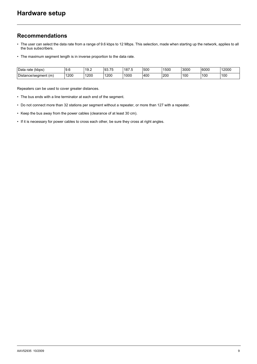### <span id="page-8-0"></span>**Recommendations**

- The user can select the data rate from a range of 9.6 kbps to 12 Mbps. This selection, made when starting up the network, applies to all the bus subscribers.
- The maximum segment length is in inverse proportion to the data rate.

| (kbps)<br>Data<br>rate | ن. ت        | 19.2         | $ -$<br>$\sim$<br>33.IJ | $\sqrt{2}$<br>187.L | 500 | 1500      | 3000 | 6000 | 12000 |
|------------------------|-------------|--------------|-------------------------|---------------------|-----|-----------|------|------|-------|
| Distance/segment (m)   | 1200<br>. . | 1200<br>____ | 1200                    | 1000                | 400 | 200<br>__ | 10C  | 100  | 100   |

Repeaters can be used to cover greater distances.

- The bus ends with a line terminator at each end of the segment.
- Do not connect more than 32 stations per segment without a repeater, or more than 127 with a repeater.
- Keep the bus away from the power cables (clearance of at least 30 cm).
- If it is necessary for power cables to cross each other, be sure they cross at right angles.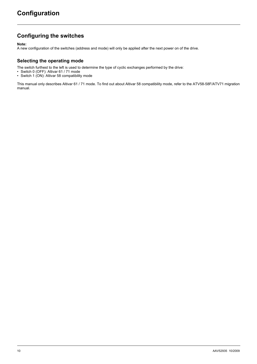### <span id="page-9-1"></span><span id="page-9-0"></span>**Configuring the switches**

**Note:**

A new configuration of the switches (address and mode) will only be applied after the next power on of the drive.

### **Selecting the operating mode**

The switch furthest to the left is used to determine the type of cyclic exchanges performed by the drive:

- Switch 0 (OFF): Altivar 61 / 71 mode
- Switch 1 (ON): Altivar 58 compatibility mode

This manual only describes Altivar 61 / 71 mode. To find out about Altivar 58 compatibility mode, refer to the ATV58-58F/ATV71 migration manual.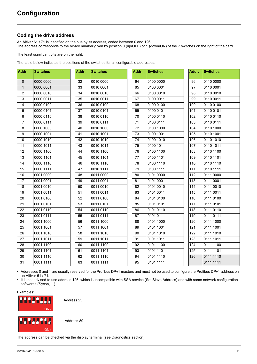### <span id="page-10-0"></span>**Coding the drive address**

An Altivar 61 / 71 is identified on the bus by its address, coded between 0 and 126. The address corresponds to the binary number given by position 0 (up/OFF) or 1 (down/ON) of the 7 switches on the right of the card.

The least significant bits are on the right.

The table below indicates the positions of the switches for all configurable addresses:

| Addr.               | <b>Switches</b> | Addr.           | <b>Switches</b> | Addr. | <b>Switches</b> | Addr. | <b>Switches</b> |
|---------------------|-----------------|-----------------|-----------------|-------|-----------------|-------|-----------------|
| $\mathsf{O}\xspace$ | 0000 0000       | 32              | 0010 0000       | 64    | 0100 0000       | 96    | 0110 0000       |
| $\mathbf{1}$        | 0000 0001       | 33              | 0010 0001       | 65    | 0100 0001       | 97    | 0110 0001       |
| $\overline{2}$      | 0000 0010       | 34              | 0010 0010       | 66    | 0100 0010       | 98    | 0110 0010       |
| 3                   | 0000 0011       | 35              | 0010 0011       | 67    | 0100 0011       | 99    | 0110 0011       |
| 4                   | 0000 0100       | 36              | 0010 0100       | 68    | 0100 0100       | 100   | 0110 0100       |
| 5                   | 0000 0101       | 37              | 0010 0101       | 69    | 0100 0101       | 101   | 0110 0101       |
| $\,6\,$             | 0000 0110       | 38              | 0010 0110       | 70    | 0100 0110       | 102   | 0110 0110       |
| $\overline{7}$      | 0000 0111       | 39              | 0010 0111       | 71    | 0100 0111       | 103   | 0110 0111       |
| 8                   | 0000 1000       | 40              | 0010 1000       | 72    | 0100 1000       | 104   | 0110 1000       |
| 9                   | 0000 1001       | $\overline{41}$ | 0010 1001       | 73    | 0100 1001       | 105   | 0110 1001       |
| $10$                | 0000 1010       | 42              | 0010 1010       | 74    | 0100 1010       | 106   | 0110 1010       |
| 11                  | 0000 1011       | 43              | 0010 1011       | 75    | 0100 1011       | 107   | 0110 1011       |
| 12                  | 0000 1100       | 44              | 0010 1100       | 76    | 0100 1100       | 108   | 0110 1100       |
| 13                  | 0000 1101       | 45              | 0010 1101       | 77    | 0100 1101       | 109   | 0110 1101       |
| 14                  | 0000 1110       | 46              | 0010 1110       | 78    | 0100 1110       | 110   | 0110 1110       |
| 15                  | 0000 1111       | 47              | 0010 1111       | 79    | 0100 1111       | 111   | 0110 1111       |
| 16                  | 0001 0000       | 48              | 0011 0000       | 80    | 0101 0000       | 112   | 0111 0000       |
| 17                  | 0001 0001       | 49              | 0011 0001       | 81    | 0101 0001       | 113   | 0111 0001       |
| 18                  | 0001 0010       | 50              | 0011 0010       | 82    | 0101 0010       | 114   | 0111 0010       |
| 19                  | 0001 0011       | 51              | 0011 0011       | 83    | 0101 0011       | 115   | 0111 0011       |
| 20                  | 0001 0100       | 52              | 0011 0100       | 84    | 0101 0100       | 116   | 0111 0100       |
| 21                  | 0001 0101       | 53              | 0011 0101       | 85    | 0101 0101       | 117   | 0111 0101       |
| 22                  | 0001 0110       | 54              | 0011 0110       | 86    | 0101 0110       | 118   | 0111 0110       |
| 23                  | 0001 0111       | 55              | 0011 0111       | 87    | 0101 0111       | 119   | 0111 0111       |
| 24                  | 0001 1000       | 56              | 0011 1000       | 88    | 0101 1000       | 120   | 0111 1000       |
| 25                  | 0001 1001       | 57              | 0011 1001       | 89    | 0101 1001       | 121   | 0111 1001       |
| 26                  | 0001 1010       | 58              | 0011 1010       | 90    | 0101 1010       | 122   | 0111 1010       |
| 27                  | 0001 1011       | 59              | 0011 1011       | 91    | 0101 1011       | 123   | 0111 1011       |
| 28                  | 0001 1100       | 60              | 0011 1100       | 92    | 0101 1100       | 124   | 0111 1100       |
| 29                  | 0001 1101       | 61              | 0011 1101       | 93    | 0101 1101       | 125   | 0111 1101       |
| 30                  | 0001 1110       | 62              | 0011 1110       | 94    | 0101 1110       | 126   | 0111 1110       |
| 31                  | 0001 1111       | 63              | 0011 1111       | 95    | 0101 1111       |       | 0111 1111       |

• Addresses 0 and 1 are usually reserved for the Profibus DPv1 masters and must not be used to configure the Profibus DPv1 address on an Altivar 61 / 71.

• It is not advised to use address 126, which is incompatible with SSA service (Set Slave Address) and with some network configuration softwares (Sycon, ...).

Examples:



Address 23

Address 89

The address can be checked via the display terminal (see Diagnostics section).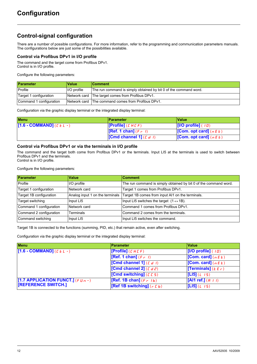### <span id="page-11-0"></span>**Control-signal configuration**

There are a number of possible configurations. For more information, refer to the programming and communication parameters manuals. The configurations below are just some of the possibilities available.

### **Control via Profibus DPv1 in I/O profile**

The command and the target come from Profibus DPv1. Control is in I/O profile.

Configure the following parameters:

| Parameter               | <b>Value</b> | <b>Comment</b>                                                   |
|-------------------------|--------------|------------------------------------------------------------------|
| Profile                 | I/O profile  | The run command is simply obtained by bit 0 of the command word. |
| Target 1 configuration  |              | Network card The target comes from Profibus DPv1.                |
| Command 1 configuration |              | Network card The command comes from Profibus DPv1.               |

Configuration via the graphic display terminal or the integrated display terminal:

| Menu                      | <b>Parameter</b>                 | ∣Value∶                                         |
|---------------------------|----------------------------------|-------------------------------------------------|
| [1.6 - COMMAND] $(EEL -)$ | [Profile] $(L H L F)$            | $\vert$ [I/O profile] ( $\vert \bar{u} \rangle$ |
|                           | <b>[Ref. 1 chan]</b> $(F - I)$   | <b>[Com. opt card]</b> ( $n \in E$ )            |
|                           | <b>Cond channel 1]</b> $(L d I)$ | <b>[Com. opt card]</b> ( $n \in E$ )            |

### **Control via Profibus DPv1 or via the terminals in I/O profile**

The command and the target both come from Profibus DPv1 or the terminals. Input LI5 at the terminals is used to switch between Profibus DPv1 and the terminals. Control is in I/O profile.

Configure the following parameters:

| <b>Parameter</b>        | Value                           | <b>Comment</b>                                                   |
|-------------------------|---------------------------------|------------------------------------------------------------------|
| Profile                 | I/O profile                     | The run command is simply obtained by bit 0 of the command word. |
| Target 1 configuration  | Network card                    | Target 1 comes from Profibus DPv1.                               |
| Target 1B configuration | Analog input 1 on the terminals | Target 1B comes from input AI1 on the terminals.                 |
| Target switching        | Input LI5                       | Input LI5 switches the target $(1 \leftrightarrow 1B)$ .         |
| Command 1 configuration | Network card                    | Command 1 comes from Profibus DPv1.                              |
| Command 2 configuration | <b>Terminals</b>                | Command 2 comes from the terminals.                              |
| Command switching       | Input LI5                       | Input LI5 switches the command.                                  |

Target 1B is connected to the functions (summing, PID, etc.) that remain active, even after switching.

Configuration via the graphic display terminal or the integrated display terminal:

| <b>Menu</b>                            | Parameter                    | <b>Value</b>                 |
|----------------------------------------|------------------------------|------------------------------|
| $[1.6 - COMMAND]$ ( $E L -$ )          | [Profile] $(L H L F)$        | $[1/O$ profile] $(10)$       |
|                                        | [Ref. 1 chan] $(F - I)$      | [Com. card] $(nE)$           |
|                                        | [Cmd channel 1] $(L d l)$    | [Com. card] $(nE)$           |
|                                        | [Cmd channel 2] $(L d2)$     | [Terminals] ( $E \in \neg$ ) |
|                                        | [Cmd switching] $(5.5)$      | [L15] (L 15)                 |
| [1.7 APPLICATION FUNCT.] (F $U_{B}$ -) | [Ref. 1B chan] $(F - Ib)$    | [Al1 ref.] $(H + I)$         |
| <b>TREFERENCE SWITCH.]</b>             | [Ref 1B switching] $(r L b)$ | [L15] (L 15)                 |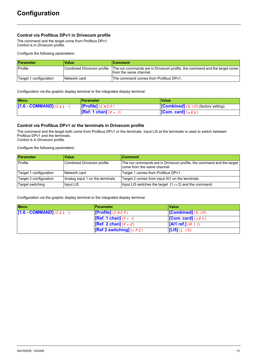### **Control via Profibus DPv1 in Drivecom profile**

The command and the target come from Profibus DPv1. Control is in Drivecom profile.

Configure the following parameters:

| <b>Parameter</b>       | <b>Value</b>              | ∣Comment                                                                                            |
|------------------------|---------------------------|-----------------------------------------------------------------------------------------------------|
| Profile                | Combined Drivecom profile | The run commands are in Drivecom profile, the command and the target come<br>from the same channel. |
| Target 1 configuration | Network card              | The command comes from Profibus DPv1.                                                               |

Configuration via the graphic display terminal or the integrated display terminal:

| <b>Menu</b>              | ∣Parameter                  | <b>Value</b>                                                |  |
|--------------------------|-----------------------------|-------------------------------------------------------------|--|
| $[1.6 - COMMAND](EEL -)$ | <b>[Profile]</b> ( $CHCF$ ) | $\vert$ [Combined] (5 $\vert \Pi \rangle$ (factory setting) |  |
|                          | [Ref. 1 chan] $(F - I)$     | <b>[Com. card]</b> ( $n \in E$ )                            |  |

#### **Control via Profibus DPv1 or the terminals in Drivecom profile**

The command and the target both come from Profibus DPv1 or the terminals. Input LI5 at the terminals is used to switch between Profibus DPv1 and the terminals. Control is in Drivecom profile.

Configure the following parameters:

| Parameter              | <b>Value</b>                    | <b>Comment</b>                                                                                      |
|------------------------|---------------------------------|-----------------------------------------------------------------------------------------------------|
| Profile                | Combined Drivecom profile       | The run commands are in Drivecom profile, the command and the target<br>come from the same channel. |
| Target 1 configuration | Network card                    | Target 1 comes from Profibus DPv1.                                                                  |
| Target 2 configuration | Analog input 1 on the terminals | Target 2 comes from input AI1 on the terminals.                                                     |
| Target switching       | Input LI5                       | Input LI5 switches the target $(1 \leftrightarrow 2)$ and the command.                              |

Configuration via the graphic display terminal or the integrated display terminal:

| <b>Menu</b>                   | <b>Parameter</b>                                | <b>Value</b>                     |
|-------------------------------|-------------------------------------------------|----------------------------------|
| $[1.6 - COMMAND]$ ( $EEL -$ ) | <b>[Profile]</b> ( $CHLF$ )                     | $[Combined]$ (5 $\sqrt{n}$ )     |
|                               | [Ref. 1 chan] $(F - I)$                         | <b>[Com. card]</b> ( $n \in E$ ) |
|                               | <b>[Ref. 2 chan]</b> $(F \rvert P)$             | $\left[$ [Al1 ref.] $(H + I)$    |
|                               | <b>[Ref 2 switching]</b> ( $r \in \mathbb{C}$ ) | $[L15](L \t15)$                  |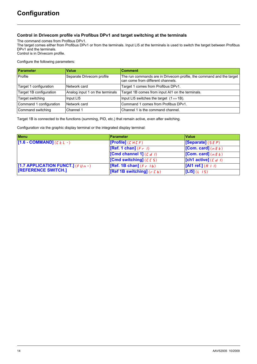### **Control in Drivecom profile via Profibus DPv1 and target switching at the terminals**

The command comes from Profibus DPv1.

The target comes either from Profibus DPv1 or from the terminals. Input LI5 at the terminals is used to switch the target between Profibus DPv1 and the terminals. Control is in Drivecom profile.

Configure the following parameters:

| Parameter               | <b>Value</b>                    | <b>Comment</b>                                                                                            |
|-------------------------|---------------------------------|-----------------------------------------------------------------------------------------------------------|
| Profile                 | Separate Drivecom profile       | The run commands are in Drivecom profile, the command and the target<br>can come from different channels. |
| Target 1 configuration  | Network card                    | Target 1 comes from Profibus DPv1.                                                                        |
| Target 1B configuration | Analog input 1 on the terminals | Target 1B comes from input AI1 on the terminals.                                                          |
| Target switching        | Input LI5                       | Input LI5 switches the target $(1 \leftrightarrow 1B)$ .                                                  |
| Command 1 configuration | Network card                    | Command 1 comes from Profibus DPv1.                                                                       |
| Command switching       | Channel 1                       | Channel 1 is the command channel.                                                                         |

Target 1B is connected to the functions (summing, PID, etc.) that remain active, even after switching.

Configuration via the graphic display terminal or the integrated display terminal:

| <b>Menu</b>                          | <b>Parameter</b>             | Value                  |
|--------------------------------------|------------------------------|------------------------|
| $[1.6 - COMMAND]$ ( $E L -$ )        | [Profile] $(L H L F)$        | [Separate] $(5E P)$    |
|                                      | [Ref. 1 chan] $(F - I)$      | [Com. card] $(nE)$     |
|                                      | [Cmd channel 1] $(L d I)$    | [Com. card] $(nE)$     |
|                                      | [Cmd switching] $(E E 5)$    | [ch1 active] $(L d I)$ |
| [1.7 APPLICATION FUNCT.] (F $U_0$ -) | [Ref. 1B chan] $(F - 1b)$    | [Al1 ref.] $(H + I)$   |
| <b>TREFERENCE SWITCH.1</b>           | [Ref 1B switching] $(r L b)$ | [LI5] $(L \ 15)$       |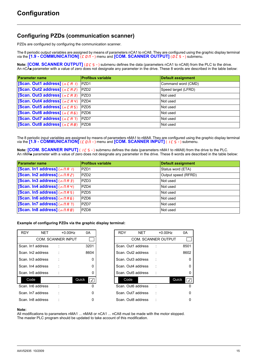### <span id="page-14-0"></span>**Configuring PZDs (communication scanner)**

PZDs are configured by configuring the communication scanner.

The 8 periodic output variables are assigned by means of parameters nCA1 to nCA8. They are configured using the graphic display terminal via the **[1.9-COMMUNICATION]** (*C 0 l*  $\vec{n}$  - ) menu and **[COM. SCANNER OUTPUT]** (*D c* 5-) submenu.

**Note: [COM. SCANNER OUTPUT]** (DC 5 -) submenu defines the data (parameters nCA1 to nCA8) from the PLC to the drive. An nCA• parameter with a value of zero does not designate any parameter in the drive. These 8 words are described in the table below:

| Parameter name                              | <b>Profibus variable</b> | <b>Default assignment</b> |
|---------------------------------------------|--------------------------|---------------------------|
| <b>[Scan. Out1 address]</b> $(n E H I)$     | PZD <sub>1</sub>         | Command word (CMD)        |
| [Scan. Out2 address] $(nEAB)$               | PZD <sub>2</sub>         | Speed target (LFRD)       |
| [Scan. Out3 address] $(nE H \cdot \vec{a})$ | PZD <sub>3</sub>         | Not used                  |
| <b>[Scan. Out4 address]</b> ( $nE$ $H$ 4)   | PZD4                     | Not used                  |
| [Scan. Out5 address] (n [ H 5)              | PZD <sub>5</sub>         | Not used                  |
| [Scan. Out6 address] (n [ A &               | PZD <sub>6</sub>         | Not used                  |
| [Scan. Out7 address] (n [ A 7)              | PZD7                     | Not used                  |
| [Scan. Out8 address] (n [ A B)              | PZD <sub>8</sub>         | Not used                  |

The 8 periodic input variables are assigned by means of parameters nMA1 to nMA8. They are configured using the graphic display terminal via the  $[1.9 - \text{COMMUNICATION}]$  ( $[0.07 -)$  menu and **[COM. SCANNER INPUT]** ( $[10.5 -)$  submenu.

**Note: [COM. SCANNER INPUT]** (ICS-) submenu defines the data (parameters nMA1 to nMA8) from the drive to the PLC. An nMA parameter with a value of zero does not designate any parameter in the drive. These 8 words are described in the table below:

| <b>Parameter name</b>                            | <b>Profibus variable</b> | Default assignment  |
|--------------------------------------------------|--------------------------|---------------------|
| [Scan. In1 address] $(n \nPi H)$                 | PZD <sub>1</sub>         | Status word (ETA)   |
| [Scan. In2 address] $(n \pi R^2)$                | PZD <sub>2</sub>         | Output speed (RFRD) |
| [Scan. In3 address] $(n \nmid n \nmid 3)$        | PZD <sub>3</sub>         | Not used            |
| [Scan. In4 address] $(n \pi H 4)$                | PZD4                     | Not used            |
| [Scan. In5 address] $(n \nmid n 5)$              | PZD <sub>5</sub>         | Not used            |
| [Scan. In6 address] $(n \nmid nF)$               | PZD <sub>6</sub>         | Not used            |
| [Scan. In7 address] $(n \nmid n + 7)$            | PZD7                     | Not used            |
| [Scan. In8 address] $(n \nmid \text{H} \nmid B)$ | PZD <sub>8</sub>         | Not used            |

**Example of configuring PZDs via the graphic display terminal:**

| <b>RDY</b> | <b>NET</b>         | $+0.00$ Hz                | 0A                                | <b>RDY</b> | <b>NET</b>                 | $+0.00$ Hz | 0Α    |
|------------|--------------------|---------------------------|-----------------------------------|------------|----------------------------|------------|-------|
|            |                    | <b>COM. SCANNER INPUT</b> |                                   |            | <b>COM. SCANNER OUTPUT</b> |            |       |
|            | Scan. In1 address  |                           | 3201                              |            | Scan. Out1 address         |            | 85    |
|            | Scan. In 2 address |                           | 8604                              |            | Scan. Out2 address         |            | 86    |
|            | Scan. In 3 address |                           | $\Omega$                          |            | Scan, Out3 address         |            |       |
|            | Scan. In4 address  |                           | $\Omega$                          |            | Scan, Out4 address         |            |       |
|            | Scan. In5 address  |                           | 0                                 |            | Scan. Out5 address         |            |       |
| Code       |                    |                           | Quick<br>$\overline{\mathcal{K}}$ | Code       |                            |            | Quick |
|            | Scan. In6 address  |                           | 0                                 |            | Scan. Out6 address         |            |       |
|            | Scan. In 7 address |                           | 0                                 |            | Scan, Out7 address         |            |       |
|            | Scan. In8 address  |                           | 0                                 |            | Scan. Out8 address         |            |       |

| <b>RDY</b>        | NET | $+0.00$ Hz                | 0A                                       | <b>RDY</b> | NET                            | $+0.00$ Hz | 0A    |
|-------------------|-----|---------------------------|------------------------------------------|------------|--------------------------------|------------|-------|
|                   |     | <b>COM. SCANNER INPUT</b> |                                          |            | <b>COM. SCANNER OUTPUT</b>     |            |       |
| Scan. In1 address |     |                           | 3201                                     |            | Scan. Out1 address             |            | 8501  |
| Scan. In2 address |     |                           | 8604                                     |            | Scan, Out <sub>2</sub> address |            | 8602  |
| Scan. In3 address |     |                           | 0                                        |            | Scan, Out3 address             |            |       |
| Scan. In4 address |     |                           | 0                                        |            | Scan, Out4 address             |            |       |
| Scan. In5 address |     |                           | 0                                        |            | Scan, Out5 address             |            |       |
| Code              |     |                           | Quick<br>$\overline{\blacktriangledown}$ | Code       |                                |            | Quick |
| Scan. In6 address |     |                           | 0                                        |            | Scan. Out6 address             |            |       |
| Scan. In7 address |     |                           | 0                                        |            | Scan. Out7 address             |            |       |
| Scan. In8 address |     |                           |                                          |            | Scan. Out8 address             |            |       |

#### **Note:**

All modifications to parameters nMA1 ... nMA8 or nCA1 ... nCA8 must be made with the motor stopped. The master PLC program should be updated to take account of this modification.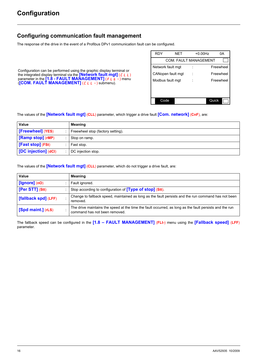### <span id="page-15-0"></span>**Configuring communication fault management**

The response of the drive in the event of a Profibus DPv1 communication fault can be configured.

Configuration can be performed using the graphic display terminal or the integrated display terminal via the **[Network fault mgt]** (CLL) parameter in the **[1.8 - FAULT MANAGEMENT]** (FLE-) menu (**[COM. FAULT MANAGEMENT]** (CLL-) submenu).

| RDY               | <b>NET</b> |                              | $+0.00$ Hz | 0A        |
|-------------------|------------|------------------------------|------------|-----------|
|                   |            | <b>COM. FAULT MANAGEMENT</b> |            |           |
| Network fault mgt |            |                              |            | Freewheel |
| CANopen fault mgt |            |                              |            | Freewheel |
| Modbus fault mgt  |            |                              |            | Freewheel |
|                   |            |                              |            |           |
|                   |            |                              |            |           |
| Code              |            |                              | Quick      |           |

The values of the **[Network fault mgt]** (**CLL**) parameter, which trigger a drive fault **[Com. network]** (**CnF**), are:

| Value                | <b>Meaning</b>                    |
|----------------------|-----------------------------------|
| [Freewheel] (YES)    | Freewheel stop (factory setting). |
| [Ramp stop] (rMP)    | Stop on ramp.                     |
| [Fast stop] (FSt)    | Fast stop.                        |
| [DC injection] (dCl) | DC injection stop.                |

The values of the **[Network fault mgt]** (**CLL**) parameter, which do not trigger a drive fault, are:

| Value                | <b>Meaning</b>                                                                                                                           |
|----------------------|------------------------------------------------------------------------------------------------------------------------------------------|
| $[lgmore]$ (nO)      | Fault ignored.                                                                                                                           |
| [Per STT] (Stt)      | Stop according to configuration of <b>[Type of stop]</b> (Stt).                                                                          |
| [fallback spd] (LFF) | Change to fallback speed, maintained as long as the fault persists and the run command has not been<br>removed.                          |
| [Spd maint.] (rLS)   | The drive maintains the speed at the time the fault occurred, as long as the fault persists and the run<br>command has not been removed. |

The fallback speed can be configured in the **[1.8 – FAULT MANAGEMENT]** (**FLt-**) menu using the **[Fallback speed]** (**LFF**) parameter.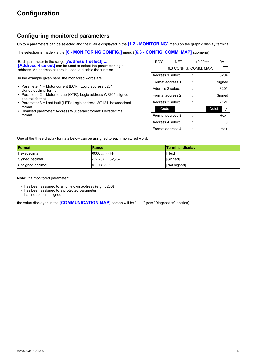### <span id="page-16-0"></span>**Configuring monitored parameters**

Up to 4 parameters can be selected and their value displayed in the **[1.2 - MONITORING]** menu on the graphic display terminal.

The selection is made via the **[6 - MONITORING CONFIG.]** menu (**[6.3 - CONFIG. COMM. MAP]** submenu).

Each parameter in the range **[Address 1 select] ... [Address 4 select]** can be used to select the parameter logic address. An address at zero is used to disable the function.

In the example given here, the monitored words are:

- Parameter 1 = Motor current (LCR): Logic address 3204; signed decimal format
- Parameter 2 = Motor torque (OTR): Logic address W3205; signed decimal format
- Parameter 3 = Last fault (LFT): Logic address W7121; hexadecimal format
- Disabled parameter: Address W0; default format: Hexadecimal format

| <b>RDY</b>       | <b>NET</b> | $+0.00$ Hz             | 0А     |
|------------------|------------|------------------------|--------|
|                  |            | 6.3 CONFIG. COMM. MAP. |        |
| Address 1 select |            |                        | 3204   |
| Format address 1 |            |                        | Signed |
| Address 2 select |            |                        | 3205   |
| Format address 2 |            |                        | Signed |
| Address 3 select |            |                        | 7121   |
| Code             |            |                        | Quick  |
| Format address 3 |            |                        | Hex    |
| Address 4 select |            |                        |        |
| Format address 4 |            |                        | Hex    |

One of the three display formats below can be assigned to each monitored word:

| <b>Format</b>    | Range           | <b>Terminal display</b> |
|------------------|-----------------|-------------------------|
| Hexadecimal      | $0000$ FFFF     | [Hex]                   |
| Signed decimal   | -32.767  32.767 | [Signed]                |
| Unsigned decimal | 065.535         | [Not signed]            |

**Note:** If a monitored parameter:

- has been assigned to an unknown address (e.g., 3200)
- has been assigned to a protected parameter
- has not been assigned

the value displayed in the **[COMMUNICATION MAP]** screen will be "**-----**" (see "Diagnostics" section).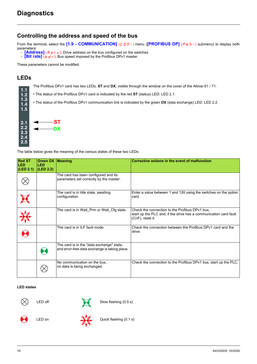### <span id="page-17-1"></span><span id="page-17-0"></span>**Controlling the address and speed of the bus**

From the terminal, select the <sup>[1.9</sup> - COMMUNICATION] (C D N -) menu (<sup>[PROFIBUS DP] (P b 5 -) submenu) to display both</sup> parameters:

- **[Address]** ( $A \neq r \neq$ ): Drive address on the bus configured on the switches
- **Example 1 Example 3 1 Figure 1 i** Bus speed imposed by the Profibus DPv1 master

These parameters cannot be modified.

### <span id="page-17-2"></span>**LEDs**

**1.1 1.2 1.3 1.4**

The Profibus DPv1 card has two LEDs, **ST** and **DX**, visible through the window on the cover of the Altivar 61 / 71:

• The status of the Profibus DPv1 card is indicated by the red **ST** (status) LED: LED 2.1.

• The status of the Profibus DPv1 communication link is indicated by the green **DX** (data exchange) LED: LED 2.2.



The table below gives the meaning of the various states of these two LEDs:

| <b>Red ST</b><br><b>LED</b><br> (LED 2.1) | <b>Green DX Meaning</b><br><b>LED</b><br>(LED 2.2) |                                                                                            | Corrective actions in the event of malfunction                                                                                          |
|-------------------------------------------|----------------------------------------------------|--------------------------------------------------------------------------------------------|-----------------------------------------------------------------------------------------------------------------------------------------|
|                                           |                                                    | The card has been configured and its<br>parameters set correctly by the master.            |                                                                                                                                         |
|                                           |                                                    | The card is in Idle state, awaiting<br>configuration.                                      | Enter a value between 1 and 126 using the switches on the option<br>card.                                                               |
|                                           |                                                    | The card is in Wait_Prm or Wait_Cfg state.                                                 | Check the connection to the Profibus DPv1 bus.<br>start up the PLC and, if the drive has a communication card fault<br>(CnF), reset it. |
|                                           |                                                    | The card is in ILF fault mode.                                                             | Check the connection between the Profibus DPv1 card and the<br>drive.                                                                   |
|                                           |                                                    | The card is in the "data exchange" state,<br>and error-free data exchange is taking place. |                                                                                                                                         |
|                                           |                                                    | No communication on the bus.<br>no data is being exchanged.                                | Check the connection to the Profibus DPv1 bus, start up the PLC.                                                                        |

#### **LED states**



LED off Slow flashing (0.5 s)





LED on Quick flashing (0.1 s)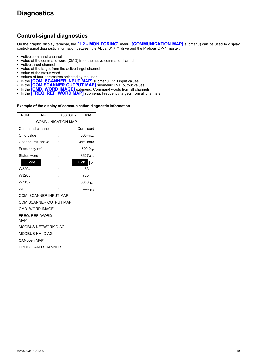### <span id="page-18-0"></span>**Control-signal diagnostics**

On the graphic display terminal, the **[1.2 - MONITORING]** menu (**[COMMUNICATION MAP]** submenu) can be used to display control-signal diagnostic information between the Altivar 61 / 71 drive and the Profibus DPv1 master:

- Active command channel<br>• Value of the command wo
- Value of the command word (CMD) from the active command channel
- Active target channel
- Value of the target from the active target channel
- Value of the status word
- Values of four parameters selected by the user
- In the **[COM. SCANNER INPUT MAP]** submenu: PZD input values
- In the **[COM SCANNER OUTPUT MAP]** submenu: PZD output values
- In the **[CMD. WORD IMAGE]** submenu: Command words from all channels
- In the **[FREQ. REF. WORD MAP]** submenu: Frequency targets from all channels

#### **Example of the display of communication diagnostic information**

| <b>RUN</b>          | NET                      |  | +50.00Hz | 80A                 |
|---------------------|--------------------------|--|----------|---------------------|
|                     | <b>COMMUNICATION MAP</b> |  |          |                     |
| Command channel     |                          |  |          | Com. card           |
| Cmd value           |                          |  |          | 000F <sub>Hex</sub> |
| Channel ref. active |                          |  |          | Com. card           |
| Frequency ref       |                          |  |          | $500.0_{Hz}$        |
| Status word         |                          |  |          | 8627 <sub>Hex</sub> |
| Code                |                          |  | Quick    |                     |
| W3204               |                          |  |          | 53                  |
| W3205               |                          |  |          | 725                 |
| W7132               |                          |  |          | 0000 <sub>Hex</sub> |
| w٥                  |                          |  |          | Hex                 |

COM. SCANNER INPUT MAP

COM SCANNER OUTPUT MAP

CMD. WORD IMAGE

FREQ. REF. WORD

MAP

MODBUS NETWORK DIAG

MODBUS HMI DIAG

CANopen MAP

PROG. CARD SCANNER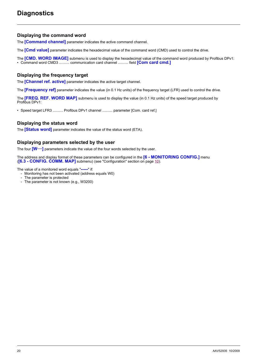### **Displaying the command word**

The **[Command channel]** parameter indicates the active command channel.

The **[Cmd value]** parameter indicates the hexadecimal value of the command word (CMD) used to control the drive.

The **[CMD. WORD IMAGE]** submenu is used to display the hexadecimal value of the command word produced by Profibus DPv1:

• Command word CMD3 .......... communication card channel .......... field **[Com card cmd.]**

### **Displaying the frequency target**

The **[Channel ref. active]** parameter indicates the active target channel.

The **[Frequency ref]** parameter indicates the value (in 0.1 Hz units) of the frequency target (LFR) used to control the drive.

The **[FREQ. REF. WORD MAP]** submenu is used to display the value (in 0.1 Hz units) of the speed target produced by Profibus DPv1:

• Speed target LFR3 .......... Profibus DPv1 channel .......... parameter [Com. card ref.]

### **Displaying the status word**

The **[Status word]** parameter indicates the value of the status word (ETA).

### **Displaying parameters selected by the user**

The four **[W····]** parameters indicate the value of the four words selected by the user.

The address and display format of these parameters can be configured in the **[6 - MONITORING CONFIG.]** menu (**[6.3 - CONFIG. COMM. MAP]** submenu) (see "Configuration" section on page [10\)](#page-9-0).

The value of a monitored word equals "**-----**" if:

- Monitoring has not been activated (address equals W0)
	- The parameter is protected
- The parameter is not known (e.g., W3200)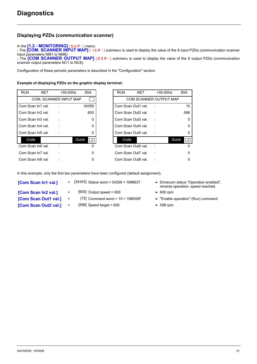### **Displaying PZDs (communication scanner)**

#### In the **[1.2 - MONITORING]** (5 *UP -* ) menu:

- The **[COM. SCANNER INPUT MAP]** ( ISA-) submenu is used to display the value of the 8 input PZDs (communication scanner input parameters NM1 to NM8).

- The **[COM SCANNER OUTPUT MAP]** ( $B$  S A -) submenu is used to display the value of the 8 output PZDs (communication scanner output parameters NC1 to NC8).

Configuration of these periodic parameters is described in the "Configuration" section.

#### **Example of displaying PZDs on the graphic display terminal:**

| <b>RUN</b> | <b>NET</b>         | $+50.00$ Hz                   | 80A                | <b>RUN</b>         | <b>NET</b> | $+50.00$ Hz            | 80A                              |
|------------|--------------------|-------------------------------|--------------------|--------------------|------------|------------------------|----------------------------------|
|            |                    | <b>COM. SCANNER INPUT MAP</b> |                    |                    |            | COM SCANNER OUTPUT MAP |                                  |
|            | Com Scan In1 val.  |                               | 34359              | Com Scan Out1 val. |            |                        | 15                               |
|            | Com Scan In2 val.  |                               | 600                | Com Scan Out2 val. |            |                        | 598                              |
|            | Com Scan In3 val.  |                               | 0                  | Com Scan Out3 val. |            |                        | $\Omega$                         |
|            | Com Scan In4 val.  |                               | 0                  | Com Scan Out4 val. |            |                        | $\mathbf 0$                      |
|            | Com Scan In5 val.  |                               | 0                  | Com Scan Out5 val. |            |                        | 0                                |
| Code       |                    |                               | Quick<br>$\sqrt{}$ | Code               |            |                        | Quick<br>$\overline{\mathsf{v}}$ |
|            | Com Scan In6 val.  |                               | 0                  | Com Scan Out6 val. |            |                        | $\Omega$                         |
|            | Com Scan In 7 val. |                               | 0                  | Com Scan Out7 val. |            |                        | 0                                |
|            | Com Scan In8 val.  |                               | 0                  | Com Scan Out8 val. |            |                        | 0                                |

| <b>RUN</b><br><b>NET</b><br>80A<br>NET<br>$+50.00$ Hz<br>$+50.00$ Hz<br>COM. SCANNER INPUT MAP<br>COM SCANNER OUTPUT MAP<br>Com Scan In1 val.<br>Com Scan Out1 val.<br>34359<br>600<br>Com Scan In2 val.<br>Com Scan Out2 val.<br>Com Scan In3 val.<br>Com Scan Out3 val.<br>0<br>Com Scan In4 val.<br>Com Scan Out4 val.<br>0<br>Com Scan In5 val.<br>Com Scan Out5 val.<br>0<br>Code<br>Quick<br>Code<br>$\overline{\prec}$<br>Com Scan In6 val.<br>Com Scan Out6 val.<br>0<br>Com Scan In7 val.<br>Com Scan Out7 val.<br>0<br>Com Scan In8 val.<br>Com Scan Out8 val. |            |  |          |
|--------------------------------------------------------------------------------------------------------------------------------------------------------------------------------------------------------------------------------------------------------------------------------------------------------------------------------------------------------------------------------------------------------------------------------------------------------------------------------------------------------------------------------------------------------------------------|------------|--|----------|
|                                                                                                                                                                                                                                                                                                                                                                                                                                                                                                                                                                          | <b>RUN</b> |  |          |
|                                                                                                                                                                                                                                                                                                                                                                                                                                                                                                                                                                          |            |  |          |
|                                                                                                                                                                                                                                                                                                                                                                                                                                                                                                                                                                          |            |  |          |
|                                                                                                                                                                                                                                                                                                                                                                                                                                                                                                                                                                          |            |  |          |
|                                                                                                                                                                                                                                                                                                                                                                                                                                                                                                                                                                          |            |  |          |
|                                                                                                                                                                                                                                                                                                                                                                                                                                                                                                                                                                          |            |  |          |
|                                                                                                                                                                                                                                                                                                                                                                                                                                                                                                                                                                          |            |  |          |
|                                                                                                                                                                                                                                                                                                                                                                                                                                                                                                                                                                          |            |  |          |
|                                                                                                                                                                                                                                                                                                                                                                                                                                                                                                                                                                          |            |  |          |
|                                                                                                                                                                                                                                                                                                                                                                                                                                                                                                                                                                          |            |  |          |
|                                                                                                                                                                                                                                                                                                                                                                                                                                                                                                                                                                          |            |  | $\Omega$ |

In this example, only the first two parameters have been configured (default assignment).

| [Com Scan In1 val.]  |                   | $=$ [34343] Status word = 34359 = 16#8637 | $\rightarrow$ Drivecom status "Operation enabled",<br>reverse operation, speed reached. |
|----------------------|-------------------|-------------------------------------------|-----------------------------------------------------------------------------------------|
| [Com Scan In2 val.]  | $=$               | $[600]$ Output speed = 600                | $\rightarrow$ 600 rpm                                                                   |
| [Com Scan Out1 val.] | $\qquad \qquad =$ | [15] Command word = $15 = 16 \# 000$ F    | $\rightarrow$ "Enable operation" (Run) command                                          |
| [Com Scan Out2 val.] | $\qquad \qquad =$ | $[598]$ Speed target = 600                | $+ 598$ rpm                                                                             |
|                      |                   |                                           |                                                                                         |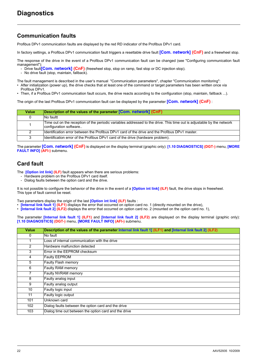### <span id="page-21-0"></span>**Communication faults**

Profibus DPv1 communication faults are displayed by the red RD indicator of the Profibus DPv1 card.

In factory settings, a Profibus DPv1 communication fault triggers a resettable drive fault **[Com. network] (CnF)** and a freewheel stop.

The response of the drive in the event of a Profibus DPv1 communication fault can be changed (see "Configuring communication fault management")

- Drive fault<sup>[</sup>Com. network] (CnF) (freewheel stop, stop on ramp, fast stop or DC injection stop).
- No drive fault (stop, maintain, fallback).

The fault management is described in the user's manual "Communication parameters", chapter "Communication monitoring":

- After initialization (power up), the drive checks that at least one of the command or target parameters has been written once via Profibus DPv1.
- Then, if a Profibus DPv1 communication fault occurs, the drive reacts according to the configuration (stop, maintain, fallback ...).

The origin of the last Profibus DPv1 communication fault can be displayed by the parameter **[Com. network] (CnF)** :

| <b>Value</b> | Description of the values of the parameter [Com. network] (CnF)                                                                                  |
|--------------|--------------------------------------------------------------------------------------------------------------------------------------------------|
| 0            | No faultt                                                                                                                                        |
|              | Time out on the reception of the periodic variables addressed to the drive. This time out is adjustable by the network<br>configuration software |
| 2            | Identification error between the Profibus DPv1 card of the drive and the Profibus DPv1 master.                                                   |
| 3            | Identification error of the Profibus DPv1 card of the drive (hardware problem).                                                                  |

The parameter **[Com. network] (CnF)** is displayed on the display terminal (graphic only): **[1.10 DIAGNOSTICS] (DGT-)** menu, **[MORE FAULT INFO] (AFI-)** submenu.

### <span id="page-21-1"></span>**Card fault**

The **[Option int link] (ILF)** fault appears when there are serious problems:

- Hardware problem on the Profibus DPv1 card itself.
- Dialog faults between the option card and the drive.

It is not possible to configure the behavior of the drive in the event of a **[Option int link] (ILF)** fault, the drive stops in freewheel. This type of fault cannot be reset.

Two parameters display the origin of the last **[Option int link] (ILF)** faults :

- **[Internal link fault 1] (ILF1)** displays the error that occurred on option card no. 1 (directly mounted on the drive),
- **[Internal link fault 2] (ILF2)** displays the error that occurred on option card no. 2 (mounted on the option card no. 1),

The parameter **[Internal link fault 1] (ILF1)** and **[Internal link fault 2] (ILF2)** are displayed on the display terminal (graphic only): **[1.10 DIAGNOSTICS] (DGT-)** menu, **[MORE FAULT INFO] (AFI-)** submenu.

| Value          | Description of the values of the parameter Internal link fault 1] (ILF1) and [Internal link fault 2] (ILF2) |
|----------------|-------------------------------------------------------------------------------------------------------------|
| 0              | No fault                                                                                                    |
|                | Loss of internal communication with the drive                                                               |
| $\overline{2}$ | Hardware malfunction detected                                                                               |
| 3              | Error in the EEPROM checksum                                                                                |
| 4              | Faulty EEPROM                                                                                               |
| 5              | Faulty Flash memory                                                                                         |
| 6              | Faulty RAM memory                                                                                           |
| 7              | Faulty NVRAM memory                                                                                         |
| 8              | Faulty analog input                                                                                         |
| 9              | Faulty analog output                                                                                        |
| 10             | Faulty logic input                                                                                          |
| 11             | Faulty logic output                                                                                         |
| 101            | Unknown card                                                                                                |
| 102            | Dialog faults between the option card and the drive                                                         |
| 103            | Dialog time out between the option card and the drive                                                       |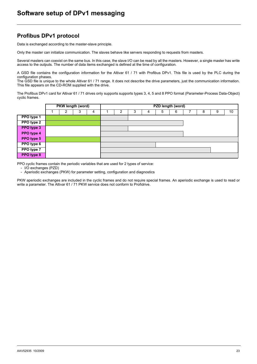### <span id="page-22-1"></span><span id="page-22-0"></span>**Profibus DPv1 protocol**

Data is exchanged according to the master-slave principle.

Only the master can initialize communication. The slaves behave like servers responding to requests from masters.

Several masters can coexist on the same bus. In this case, the slave I/O can be read by all the masters. However, a single master has write access to the outputs. The number of data items exchanged is defined at the time of configuration.

A GSD file contains the configuration information for the Altivar 61 / 71 with Profibus DPv1. This file is used by the PLC during the configuration phases.

The GSD file is unique to the whole Altivar 61 / 71 range. It does not describe the drive parameters, just the communication information. This file appears on the CD-ROM supplied with the drive.

The Profibus DPv1 card for Altivar 61 / 71 drives only supports supports types 3, 4, 5 and 8 PPO format (Parameter-Process Data-Object) cyclic frames.

|                   |  | PKW length (word) |   | PZD length (word) |  |   |   |   |  |   |   |    |
|-------------------|--|-------------------|---|-------------------|--|---|---|---|--|---|---|----|
|                   |  | 3                 | 4 |                   |  | 4 | 5 | 6 |  | 8 | 9 | 10 |
| PPO type 1        |  |                   |   |                   |  |   |   |   |  |   |   |    |
| <b>PPO</b> type 2 |  |                   |   |                   |  |   |   |   |  |   |   |    |
| PPO type 3        |  |                   |   |                   |  |   |   |   |  |   |   |    |
| PPO type 4        |  |                   |   |                   |  |   |   |   |  |   |   |    |
| PPO type 5        |  |                   |   |                   |  |   |   |   |  |   |   |    |
| PPO type 6        |  |                   |   |                   |  |   |   |   |  |   |   |    |
| PPO type 7        |  |                   |   |                   |  |   |   |   |  |   |   |    |
| <b>PPO</b> type 8 |  |                   |   |                   |  |   |   |   |  |   |   |    |

PPO cyclic frames contain the periodic variables that are used for 2 types of service:

- I/O exchanges (PZD)

- Aperiodic exchanges (PKW) for parameter setting, configuration and diagnostics

PKW aperiodic exchanges are included in the cyclic frames and do not require special frames. An aperiodic exchange is used to read or write a parameter. The Altivar 61 / 71 PKW service does not conform to Profidrive.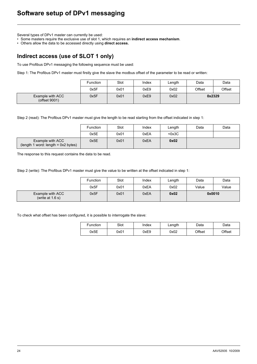Several types of DPv1 master can currently be used:

• Some masters require the exclusive use of slot 1, which requires an **indirect access mechanism**.

• Others allow the data to be accessed directly using **direct access.**

### <span id="page-23-0"></span>**Indirect access (use of SLOT 1 only)**

To use Profibus DPv1 messaging the following sequence must be used:

Step 1: The Profibus DPv1 master must firstly give the slave the modbus offset of the parameter to be read or written:

|                                   | <b>Function</b> | Slot | Index | Length | Data   | Data   |
|-----------------------------------|-----------------|------|-------|--------|--------|--------|
|                                   | 0x5F            | 0x01 | 0xE9  | 0x02   | Offset | Offset |
| Example with ACC<br>(offset 9001) | 0x5F            | 0x01 | 0xE9  | 0x02   |        | 0x2329 |

Step 2 (read): The Profibus DPv1 master must give the length to be read starting from the offset indicated in step 1:

|                                                           | <b>Function</b> | Slot | Index | ∟ength | Data | Data |
|-----------------------------------------------------------|-----------------|------|-------|--------|------|------|
|                                                           | 0x5E            | 0x01 | 0xEA  | $0x3C$ |      |      |
| Example with ACC<br>$(length 1 word: length = 0x2 bytes)$ | 0x5E            | 0x01 | 0xEA  | 0x02   |      |      |

The response to this request contains the data to be read.

Step 2 (write): The Profibus DPv1 master must give the value to be written at the offset indicated in step 1:

|                                        | Function | Slot | Index | Length | Data  | Data   |
|----------------------------------------|----------|------|-------|--------|-------|--------|
|                                        | 0x5F     | 0x01 | 0xEA  | 0x02   | Value | Value  |
| Example with ACC<br>(write at $1.6$ s) | 0x5F     | 0x01 | 0xEA  | 0x02   |       | 0x0010 |

To check what offset has been configured, it is possible to interrogate the slave:

| Function | Slot | Index | Length | Data   | Data   |
|----------|------|-------|--------|--------|--------|
| 0x5E     | 0x01 | 0xE9  | 0x02   | Offset | Offset |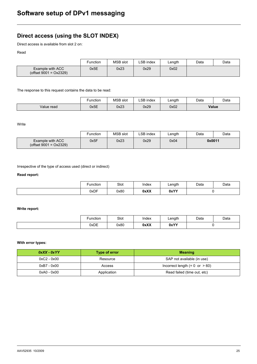### <span id="page-24-0"></span>**Direct access (using the SLOT INDEX)**

Direct access is available from slot 2 on:

Read

|                                               | Function | <b>MSB</b> slot | LSB index | ∟ength | Data | Data |
|-----------------------------------------------|----------|-----------------|-----------|--------|------|------|
| Example with ACC<br>(offset $9001 = 0x2329$ ) | 0x5E     | 0x23            | 0x29      | 0x02   |      |      |

The response to this request contains the data to be read:

|            | Function | <b>MSB</b> slot | ∟SB index | ∟ength | Data | Data  |
|------------|----------|-----------------|-----------|--------|------|-------|
| Value read | 0x5E     | 0x23            | 0x29      | 0x02   |      | Value |

Write

|                                               | Function | <b>MSB</b> slot | LSB index | ∟ength | Data | Data   |
|-----------------------------------------------|----------|-----------------|-----------|--------|------|--------|
| Example with ACC<br>(offset $9001 = 0x2329$ ) | 0x5F     | 0x23            | 0x29      | 0x04   |      | 0x0011 |

Irrespective of the type of access used (direct or indirect)

#### **Read report:**

| <i><u><b>Function</b></u></i> | Slot | Index | ∟ength | Data | Data |
|-------------------------------|------|-------|--------|------|------|
| 0xDF                          | 0x80 | 0xXX  | 0xYY   |      |      |

#### **Write report:**

| Function | Slot | Index         | ∟ength | Data | Data |
|----------|------|---------------|--------|------|------|
| 0xDE     | 0x80 | 0xXX<br>----- | 0xYY   |      |      |

#### **With error types:**

| $0$ xXX - $0$ xYY | Type of error | <b>Meaning</b>                            |
|-------------------|---------------|-------------------------------------------|
| $0xC2 - 0x00$     | Resource      | SAP not available (in use)                |
| $0xB7 - 0x00$     | Access        | Incorrect length $(= 0 \text{ or } > 60)$ |
| $0xA0 - 0x00$     | Application   | Read failed (time out, etc)               |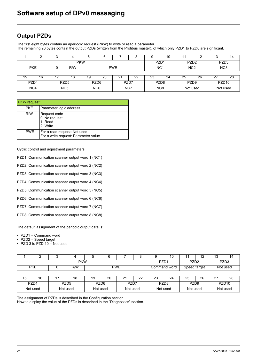### <span id="page-25-1"></span><span id="page-25-0"></span>**Output PZDs**

The first eight bytes contain an aperiodic request (PKW) to write or read a parameter. The remaining 20 bytes contain the output PZDs (written from the Profibus master), of which only PZD1 to PZD8 are significant.

|                  | o                               | ◠ | 4                | b               |                  |      | о               |                  | 10               |                  | 12               | د ا               | 14 |
|------------------|---------------------------------|---|------------------|-----------------|------------------|------|-----------------|------------------|------------------|------------------|------------------|-------------------|----|
| <b>PKW</b>       |                                 |   |                  |                 |                  |      |                 | PZD <sub>1</sub> |                  | PZD <sub>3</sub> |                  |                   |    |
|                  | <b>PKE</b><br><b>PWE</b><br>R/W |   |                  |                 |                  |      | NC <sub>1</sub> |                  | N <sub>C</sub> 2 |                  | N <sub>C</sub> 3 |                   |    |
|                  |                                 |   |                  |                 |                  |      |                 |                  |                  |                  |                  |                   |    |
| 15               | 16                              |   | 18               | 19              | 20               | 2٠   | 22              | 23               | 24               | 25               | 26               |                   | 28 |
| PZD <sub>4</sub> |                                 |   | PZD <sub>5</sub> |                 | PZD <sub>6</sub> | PZD7 |                 | PZD <sub>8</sub> |                  | PZD <sub>9</sub> |                  | PZD <sub>10</sub> |    |
|                  | N <sub>C</sub> 4                |   | NC <sub>5</sub>  | NC <sub>6</sub> |                  | NC7  |                 | NC <sub>8</sub>  |                  | Not used         |                  | Not used          |    |

| <b>PKW</b> request: |                                                                      |
|---------------------|----------------------------------------------------------------------|
| <b>PKE</b>          | Parameter logic address                                              |
| <b>RIW</b>          | Request code<br>0: No request<br>1: Read<br>2: Write                 |
| <b>PWE</b>          | For a read request: Not used<br>For a write request: Parameter value |

Cyclic control and adjustment parameters:

PZD1: Communication scanner output word 1 (NC1)

PZD2: Communication scanner output word 2 (NC2)

PZD3: Communication scanner output word 3 (NC3)

PZD4: Communication scanner output word 4 (NC4)

PZD5: Communication scanner output word 5 (NC5)

PZD6: Communication scanner output word 6 (NC6)

PZD7: Communication scanner output word 7 (NC7)

PZD8: Communication scanner output word 8 (NC8)

The default assignment of the periodic output data is:

• PZD1 = Command word

• PZD2 = Speed target

• PZD 3 to PZD 10 = Not used

|    |                                                          |  |          | 5                | ิค<br>u |                  | Õ  | 9                | 10           |                   | 12 | 13 | 14       |
|----|----------------------------------------------------------|--|----------|------------------|---------|------------------|----|------------------|--------------|-------------------|----|----|----------|
|    |                                                          |  |          | PZD <sub>1</sub> |         | PZD <sub>3</sub> |    |                  |              |                   |    |    |          |
|    | <b>PKE</b>                                               |  | R/W      |                  |         | <b>PWE</b>       |    |                  | Command word | Speed target      |    |    | Not used |
|    |                                                          |  |          |                  |         |                  |    |                  |              |                   |    |    |          |
| 15 | 16                                                       |  | 18       | 19               | 20      | 21               | 22 | 23               | 24           | 25                | 26 | 27 | 28       |
|    | PZD <sub>4</sub><br>PZD <sub>5</sub><br>PZD <sub>6</sub> |  | PZD7     |                  |         | PZD <sub>8</sub> |    | PZD <sub>9</sub> |              | PZD <sub>10</sub> |    |    |          |
|    | Not used                                                 |  | Not used | Not used         |         | Not used         |    |                  | Not used     | Not used          |    |    | Not used |

The assignment of PZDs is described in the Configuration section.

How to display the value of the PZDs is described in the "Diagnostics" section.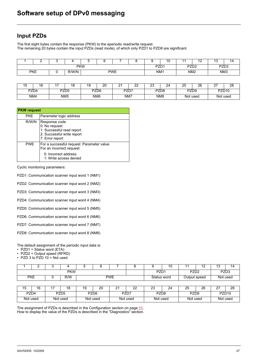### <span id="page-26-0"></span>**Input PZDs**

The first eight bytes contain the response (PKW) to the aperiodic read/write request. The remaining 20 bytes contain the input PZDs (read mode), of which only PZD1 to PZD8 are significant.

|                                   |  |  |  |            |                  |  |  |                  | . v         |                 | ∽<br>. . | שו              |  |
|-----------------------------------|--|--|--|------------|------------------|--|--|------------------|-------------|-----------------|----------|-----------------|--|
|                                   |  |  |  | <b>PKW</b> | PZD <sub>1</sub> |  |  | PZD <sub>2</sub> | <b>DZD2</b> | 'LU3<br>__      |          |                 |  |
| <b>PKE</b><br>R/W/N<br><b>PWE</b> |  |  |  |            |                  |  |  | NM <sub>1</sub>  |             | NM <sub>2</sub> |          | NM <sub>3</sub> |  |

| 15<br>∪ו | $\overline{ }$<br>16 | -                | 1 <sub>Q</sub>  | 19              | ററ<br>∠∪ | n,<br><u>.</u> | nn<br><u>__</u> | co<br>ںے<br>__   | $\sim$<br>∠∽ | 25       | 26<br>_          | $\sim$<br>-       | 28 |
|----------|----------------------|------------------|-----------------|-----------------|----------|----------------|-----------------|------------------|--------------|----------|------------------|-------------------|----|
| PZD4     |                      | PZD <sub>5</sub> |                 | PZD6            |          | PZD7           |                 | PZD <sub>8</sub> |              |          | PZD <sub>9</sub> | PZD <sub>10</sub> |    |
| NM4      |                      |                  | NM <sub>5</sub> | NM <sub>6</sub> |          |                | NM7             | NM8              |              | Not used |                  | Not used          |    |

|            | <b>PKW</b> request                                                                                           |  |  |  |  |  |
|------------|--------------------------------------------------------------------------------------------------------------|--|--|--|--|--|
| PKE.       | Parameter logic address                                                                                      |  |  |  |  |  |
| R/W/N      | Response code<br>0: No request<br>1: Successful read report<br>2: Successful write report<br>7: Error report |  |  |  |  |  |
| <b>PWE</b> | For a successful request: Parameter value<br>For an incorrect request:                                       |  |  |  |  |  |
|            | 0: Incorrect address<br>1: Write access denied                                                               |  |  |  |  |  |

Cyclic monitoring parameters:

PZD1: Communication scanner input word 1 (NM1)

PZD2: Communication scanner input word 2 (NM2)

PZD3: Communication scanner input word 3 (NM3)

PZD4: Communication scanner input word 4 (NM4)

PZD5: Communication scanner input word 5 (NM5)

PZD6: Communication scanner input word 6 (NM6)

PZD7: Communication scanner input word 7 (NM7)

PZD8: Communication scanner input word 8 (NM8)

The default assignment of the periodic input data is:

• PZD1 = Status word (ETA)

• PZD2 = Output speed (RFRD)

• PZD 3 to PZD 10 = Not used

|            | -          |  |     |                  |  |                  |             | 10 |                  | A C<br>. . | . .<br>ں ، | ۱Δ       |
|------------|------------|--|-----|------------------|--|------------------|-------------|----|------------------|------------|------------|----------|
| <b>PKW</b> |            |  |     | PZD <sub>1</sub> |  | PZD <sub>2</sub> |             |    | PZD <sub>3</sub> |            |            |          |
|            | <b>PKE</b> |  | R/W | <b>PWE</b>       |  |                  | Status word |    | Output speed     |            |            | Not used |

| $\overline{\phantom{0}}$<br>'~ | 16<br>ں ، | ہ ہ<br>ıō | . . | ົ<br>∠∪                  | -<br><u>.</u> | nn<br><u>__</u>  | n <sub>n</sub><br>دے<br><b>Contract Contract Contract Contract</b> | 24   | n <sub>r</sub><br>∠J | 26 | $\sim$            | ററ<br>∠o |
|--------------------------------|-----------|-----------|-----|--------------------------|---------------|------------------|--------------------------------------------------------------------|------|----------------------|----|-------------------|----------|
|                                | PZD4      | PZD5      |     | PZD <sub>6</sub><br>PZD7 |               | PZD <sub>8</sub> |                                                                    | PZD9 |                      |    | PZD <sub>10</sub> |          |
|                                | Not used  | Not used  |     | Not used                 | Not used      |                  | Not used                                                           |      | Not used             |    |                   | Not used |

The assignment of PZDs is described in the Configuration section on page [11](#page-10-0). How to display the value of the PZDs is described in the "Diagnostics" section.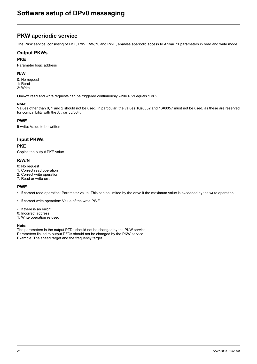### <span id="page-27-0"></span>**PKW aperiodic service**

The PKW service, consisting of PKE, R/W, R/W/N, and PWE, enables aperiodic access to Altivar 71 parameters in read and write mode.

### **Output PKWs**

#### **PKE**

Parameter logic address

#### **R/W**

- 0: No request
- 1: Read 2: Write
- 

One-off read and write requests can be triggered continuously while R/W equals 1 or 2.

#### **Note:**

Values other than 0, 1 and 2 should not be used. In particular, the values 16#0052 and 16#0057 must not be used, as these are reserved for compatibility with the Altivar 58/58F.

#### **PWE**

If write: Value to be written

### **Input PKWs**

#### **PKE**

Copies the output PKE value

#### **R/W/N**

- 0: No request
- 1: Correct read operation
- 2: Correct write operation
- 7: Read or write error

### **PWE**

- If correct read operation: Parameter value. This can be limited by the drive if the maximum value is exceeded by the write operation.
- If correct write operation: Value of the write PWE
- If there is an error:
- 0: Incorrect address
- 1: Write operation refused

#### **Note:**

The parameters in the output PZDs should not be changed by the PKW service. Parameters linked to output PZDs should not be changed by the PKW service. Example: The speed target and the frequency target.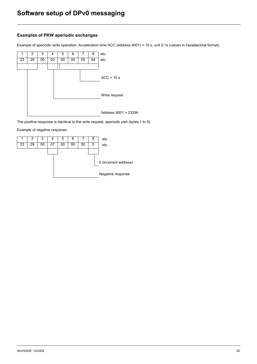### **Examples of PKW aperiodic exchanges**

Example of aperiodic write operation: Acceleration time ACC (address 9001) = 10 s, unit 0,1s (values in hexadecimal format).



The positive response is identical to the write request, aperiodic part (bytes 1 to 8).

Example of negative response:

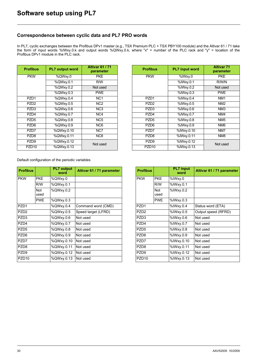### <span id="page-29-0"></span>**Correspondence between cyclic data and PL7 PRO words**

In PL7, cyclic exchanges between the Profibus DPv1 master (e.g., TSX Premium PLC + TSX PBY100 module) and the Altivar 61 / 71 take the form of input words %IWxy.0.k and output words %QWxy.0.k, where "x" = number of the PLC rack and "y" = location of the Profibus DPv1 module in the PLC rack.

| <b>Profibus</b>   | <b>PL7 output word</b> | <b>Altivar 61 / 71</b><br>parameter |
|-------------------|------------------------|-------------------------------------|
| <b>PKW</b>        | %QWxy.0                | <b>PKE</b>                          |
|                   | %QWxy.0.1              | R/W                                 |
|                   | %QWxy.0.2              | Not used                            |
|                   | %QWxy.0.3              | <b>PWE</b>                          |
| PZD <sub>1</sub>  | %QWxy.0.4              | NC <sub>1</sub>                     |
| PZD <sub>2</sub>  | %QWxy.0.5              | NC <sub>2</sub>                     |
| PZD3              | %QWxy.0.6              | NC <sub>3</sub>                     |
| PZD4              | %QWxy.0.7              | NC4                                 |
| PZD <sub>5</sub>  | %QWxy.0.8              | NC <sub>5</sub>                     |
| PZD <sub>6</sub>  | %QWxy.0.9              | NC <sub>6</sub>                     |
| PZD7              | %QWxy.0.10             | NC7                                 |
| PZD <sub>8</sub>  | %QWxy.0.11             | N <sub>C</sub> 8                    |
| PZD <sub>9</sub>  | %QWxy.0.12             | Not used                            |
| PZD <sub>10</sub> | %QWxy.0.13             |                                     |

| rofibus           | <b>PL7 output word</b> | <b>Altivar 61/71</b><br>parameter | <b>Profibus</b>   | <b>PL7</b> input word | <b>Altivar 71</b><br>parameter |
|-------------------|------------------------|-----------------------------------|-------------------|-----------------------|--------------------------------|
| <b>PKW</b>        | %QWxy.0                | <b>PKE</b>                        | <b>PKW</b>        | %IWxy.0               | <b>PKE</b>                     |
|                   | %QWxy.0.1              | R/W                               |                   | %IWxy.0.1             | R/W/N                          |
|                   | %QWxy.0.2              | Not used                          |                   | %IWxy.0.2             | Not used                       |
|                   | %QWxy.0.3              | <b>PWE</b>                        |                   | %IWxy.0.3             | <b>PWE</b>                     |
| PZD <sub>1</sub>  | %QWxy.0.4              | NC <sub>1</sub>                   | PZD <sub>1</sub>  | %IWxy.0.4             | NM <sub>1</sub>                |
| PZD <sub>2</sub>  | %QWxy.0.5              | N <sub>C2</sub>                   | PZD <sub>2</sub>  | %IWxy.0.5             | NM <sub>2</sub>                |
| PZD <sub>3</sub>  | %QWxy.0.6              | NC <sub>3</sub>                   | PZD <sub>3</sub>  | %IWxy.0.6             | NM <sub>3</sub>                |
| PZD4              | %QWxy.0.7              | NC4                               | PZD4              | %IWxy.0.7             | NM4                            |
| PZD <sub>5</sub>  | %QWxy.0.8              | NC <sub>5</sub>                   | PZD <sub>5</sub>  | %IWxy.0.8             | NM <sub>5</sub>                |
| PZD <sub>6</sub>  | %QWxy.0.9              | NC <sub>6</sub>                   | PZD <sub>6</sub>  | %IWxy.0.9             | NM <sub>6</sub>                |
| PZD7              | %QWxy.0.10             | NC7                               | PZD7              | %IWxy.0.10            | NM7                            |
| PZD <sub>8</sub>  | %QWxy.0.11             | NC <sub>8</sub>                   | PZD <sub>8</sub>  | %IWxy.0.11            | NM <sub>8</sub>                |
| PZD <sub>9</sub>  | %QWxy.0.12             | Not used                          | PZD <sub>9</sub>  | %IWxy.0.12            | Not used                       |
| PZD <sub>10</sub> | $\sqrt[3]{QW}$ xy.0.13 |                                   | PZD <sub>10</sub> | %IWxy.0.13            |                                |
|                   |                        |                                   |                   |                       |                                |

Default configuration of the periodic variables

| <b>Profibus</b>   |             | <b>PL7</b> output<br>word | Altivar 61 / 71 parameter | <b>Profibus</b>   |                    | <b>PL7</b> input<br>word | Altivar 61 / 71 param |
|-------------------|-------------|---------------------------|---------------------------|-------------------|--------------------|--------------------------|-----------------------|
| <b>PKW</b>        | <b>PKE</b>  | %QWxy.0                   |                           | <b>PKW</b>        | <b>PKE</b>         | %IWxy.0                  |                       |
|                   | R/W         | %QWxy.0.1                 |                           |                   | R/W                | %IWxy.0.1                |                       |
|                   | Not<br>used | %QWxy.0.2                 |                           |                   | <b>Not</b><br>used | %IWxy.0.2                |                       |
|                   | <b>PWE</b>  | %QWxy.0.3                 |                           |                   | <b>PWE</b>         | %IWxy.0.3                |                       |
| PZD1              |             | %QWxy.0.4                 | Command word (CMD)        | PZD <sub>1</sub>  |                    | %IWxy.0.4                | Status word (ETA)     |
| PZD <sub>2</sub>  |             | %QWxy.0.5                 | Speed target (LFRD)       | PZD <sub>2</sub>  |                    | %IWxy.0.5                | Output speed (RFRD)   |
| PZD <sub>3</sub>  |             | %QWxy.0.6                 | Not used                  | PZD <sub>3</sub>  |                    | %IWxy.0.6                | Not used              |
| PZD4              |             | %QWxy.0.7                 | Not used                  | PZD4              |                    | %IWxy.0.7                | Not used              |
| PZD <sub>5</sub>  |             | %QWxy.0.8                 | Not used                  | PZD <sub>5</sub>  |                    | %IWxy.0.8                | Not used              |
| PZD <sub>6</sub>  |             | %QWxy.0.9                 | Not used                  | PZD <sub>6</sub>  |                    | %IWxy.0.9                | Not used              |
| PZD7              |             | %QWxy.0.10                | Not used                  | PZD7              |                    | %IWxy.0.10               | Not used              |
| PZD <sub>8</sub>  |             | %QWxy.0.11                | Not used                  | PZD <sub>8</sub>  |                    | %IWxy.0.11               | Not used              |
| PZD <sub>9</sub>  |             | %QWxy.0.12                | Not used                  | PZD <sub>9</sub>  |                    | %IWxy.0.12               | Not used              |
| PZD <sub>10</sub> |             | %QWxy.0.13                | Not used                  | PZD <sub>10</sub> |                    | %IWxy.0.13               | Not used              |

| <b>Profibus</b>   |                    | <b>PL7</b> input<br>word | Altivar 61 / 71 parameter |
|-------------------|--------------------|--------------------------|---------------------------|
| <b>PKW</b>        | <b>PKF</b>         | %IWxy.0                  |                           |
|                   | R/W                | %IWxy.0.1                |                           |
|                   | <b>Not</b><br>used | %IWxy.0.2                |                           |
|                   | <b>PWE</b>         | %IWxy.0.3                |                           |
| PZD <sub>1</sub>  |                    | %IWxy.0.4                | Status word (ETA)         |
| P7D <sub>2</sub>  |                    | %IWxy.0.5                | Output speed (RFRD)       |
| PZD <sub>3</sub>  |                    | %IWxy.0.6                | Not used                  |
| PZD4              |                    | %IWxy.0.7                | Not used                  |
| PZD <sub>5</sub>  |                    | %IWxy.0.8                | Not used                  |
| PZD6              | %IWxy.0.9          |                          | Not used                  |
| PZD7              |                    | %IWxy.0.10               | Not used                  |
| PZD <sub>8</sub>  |                    | %IWxy.0.11               | Not used                  |
| PZD <sub>9</sub>  |                    | %IWxy.0.12               | Not used                  |
| PZD <sub>10</sub> |                    | %IWxy.0.13               | Not used                  |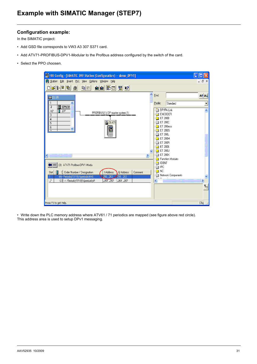### <span id="page-30-0"></span>**Configuration example:**

In the SIMATIC project:

- Add GSD file corresponds to VW3 A3 307 S371 card.
- Add ATV71-PROFIBUS-DPV1-Modular to the Profibus address configured by the switch of the card.
- Select the PPO choosen.

| <b>DR HW Config - [SIMATIC 300 Station (Configuration) -- demo_DPV1]</b>                                                        |                                                                                                  |                                    | ÷                    |
|---------------------------------------------------------------------------------------------------------------------------------|--------------------------------------------------------------------------------------------------|------------------------------------|----------------------|
| 00 Station Edit Insert PLC View Options Window Help                                                                             |                                                                                                  |                                    | - 日 ×                |
| G - 8~ F - F - F - 1<br>■□ ■ 图 2<br>$\triangleq$<br>śn śn<br>a d<br>ηı                                                          |                                                                                                  |                                    |                      |
| $\triangle$<br>$\equiv$ (0) UR                                                                                                  | Eind:                                                                                            |                                    | mtmi                 |
| ٨<br>CPU31<br>$\overline{c}$                                                                                                    | Profile:                                                                                         | Standard                           |                      |
| DP<br>Χ2<br>PROFIBUS(1): DP master system (1)<br>3<br>$\overline{4}$<br>面(3)ATV<br>5<br>6<br>Ø<br>$\overline{ }$<br>◁<br>m<br>⋗ | ET 200B<br>ET 200C<br>ET 200iS<br>ET 200L<br>ET 200M<br>ET 200R<br>ET 200S<br>ET 200U<br>ET 200X | DP/PA Link<br>ENCODER<br>ET 200eco | ٨                    |
| (3) ATV71-Profibus-DPV1-Modu<br>B<br>[ Order Number / Designation<br>Q Address<br>Comment<br>Slot<br><b>Address</b>             | IDENT<br><b>IPC</b><br>NC.                                                                       | <b>Function Modules</b>            |                      |
| 4AX Periodic(10-10) Aperiodic(4-4)<br>256263<br>256263<br>264283<br>121-> Penindic/10-101Aperindic/4-<br>264283<br>2            | $\left\vert \cdot \right\rangle$                                                                 | Network Components<br>$\mathbb{R}$ | $\rightarrow$<br>⊺ۍ€ |
| Press F1 to get Help.                                                                                                           |                                                                                                  |                                    | Chq                  |

• Write down the PLC memory address where ATV61 / 71 periodics are mapped (see figure above red circle). This address area is used to setup DPv1 messaging.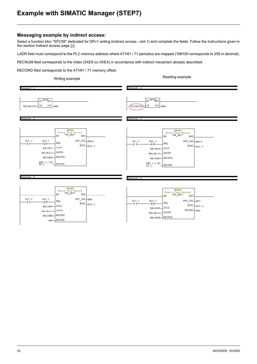### **Example with SIMATIC Manager (STEP7)**

### **Messaging example by indirect access:**

Select a function bloc "SFC58" dedicated for DPv1 writing (indirect access - slot 1) and complete the fields. Follow the instructions given in the section Indirect access page [24.](#page-23-0)

LADR field must correspond to the PLC memory address where ATV61 / 71 periodics are mapped (16#100 corresponds to 256 in decimal).

RECNUM field corresponds to the index (0XE9 ou 0XEA) in accordance with indirect mecanism already described.

RECORD filed corresponds to the ATV61 / 71 memory offset.

| Writing example                                                                                                                                                                                                                           | Reading example                                                                                                                                                                                                                      |  |  |  |  |  |
|-------------------------------------------------------------------------------------------------------------------------------------------------------------------------------------------------------------------------------------------|--------------------------------------------------------------------------------------------------------------------------------------------------------------------------------------------------------------------------------------|--|--|--|--|--|
| Network: 1                                                                                                                                                                                                                                | Network: 1                                                                                                                                                                                                                           |  |  |  |  |  |
| EN MOVENO<br>$\circ$ ut $\rightarrow$ mvo<br>W#16#2329-TN                                                                                                                                                                                 | EN MOVENO<br>W#16#2329} IN<br>OUT.<br>-MWO                                                                                                                                                                                           |  |  |  |  |  |
| Network: 2                                                                                                                                                                                                                                | Network: 2                                                                                                                                                                                                                           |  |  |  |  |  |
| <b>SFC58</b><br>Write Data Record<br>"WR_REC"<br>EN<br>ENO<br>M10.0<br>M12.0<br>RET_VAL AMW14<br>REQ<br>$+\prime$<br>BUSY $_{ML2.0}$<br>B#16#54- IOID<br>$W#16#100$ LADDR<br>B#16#E9-RECNUM<br>P#M 0.0 BY<br>RECORD<br>TE 2<br>Network: 3 | <b>SFC58</b><br>Write Data Record<br>"WR_REC"<br>EN<br>ENO<br>M10.0<br>M12.0<br>RET_VAL AW14<br>REQ<br>1/1<br>BUSY $_{M12.0}$<br>B#16#54- IOID<br>LADDR<br>W#16#100-<br>B#16#E9-RECNUM<br>P#M 0.0 BY<br>RECORD<br>TE 2<br>Network: 3 |  |  |  |  |  |
| SFC58<br>Write Data Record<br>"WR_REC"<br>EN<br>ENO<br>M10.0<br>M12.1<br>RET_VAL AMW6<br>REQ<br>⊣∕⊢<br>BUSY $_{ML2.1}$<br>$B#16#55 -$ IOID<br>$W#16#100$ LADDR<br>$B#16#EA$ RECNUM<br>$_{MW2}$ RECORD                                     | <b>SFC59</b><br>Read a Data Record<br>$"{\tt RD\_REC"$<br>EN<br>ENO<br>M10.1<br>M12.1<br>RET_VAL AMW7<br>REQ<br>₩<br>$\texttt{BUSY}\left[\_,\_{M12}\_,1\right]$<br>B#16#55- IOID<br>RECORD MW2<br>$W#16#100$ LADDR<br>B#16#EA-RECNUM |  |  |  |  |  |